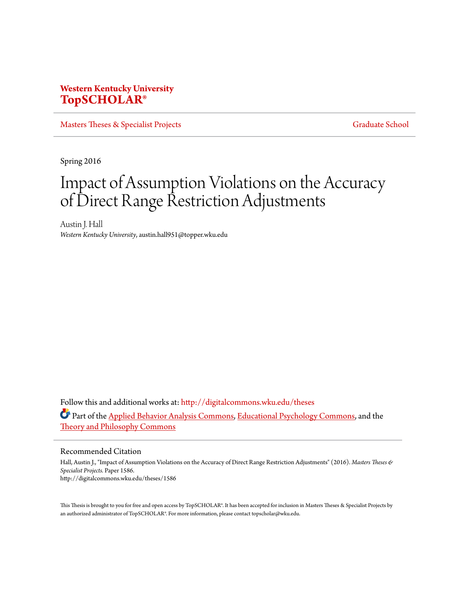# **Western Kentucky University [TopSCHOLAR®](http://digitalcommons.wku.edu?utm_source=digitalcommons.wku.edu%2Ftheses%2F1586&utm_medium=PDF&utm_campaign=PDFCoverPages)**

[Masters Theses & Specialist Projects](http://digitalcommons.wku.edu/theses?utm_source=digitalcommons.wku.edu%2Ftheses%2F1586&utm_medium=PDF&utm_campaign=PDFCoverPages) [Graduate School](http://digitalcommons.wku.edu/Graduate?utm_source=digitalcommons.wku.edu%2Ftheses%2F1586&utm_medium=PDF&utm_campaign=PDFCoverPages)

Spring 2016

# Impact of Assumption Violations on the Accuracy of Direct Range Restriction Adjustments

Austin J. Hall *Western Kentucky University*, austin.hall951@topper.wku.edu

Follow this and additional works at: [http://digitalcommons.wku.edu/theses](http://digitalcommons.wku.edu/theses?utm_source=digitalcommons.wku.edu%2Ftheses%2F1586&utm_medium=PDF&utm_campaign=PDFCoverPages) Part of the [Applied Behavior Analysis Commons](http://network.bepress.com/hgg/discipline/1235?utm_source=digitalcommons.wku.edu%2Ftheses%2F1586&utm_medium=PDF&utm_campaign=PDFCoverPages), [Educational Psychology Commons,](http://network.bepress.com/hgg/discipline/798?utm_source=digitalcommons.wku.edu%2Ftheses%2F1586&utm_medium=PDF&utm_campaign=PDFCoverPages) and the [Theory and Philosophy Commons](http://network.bepress.com/hgg/discipline/1238?utm_source=digitalcommons.wku.edu%2Ftheses%2F1586&utm_medium=PDF&utm_campaign=PDFCoverPages)

Recommended Citation

Hall, Austin J., "Impact of Assumption Violations on the Accuracy of Direct Range Restriction Adjustments" (2016). *Masters Theses & Specialist Projects.* Paper 1586. http://digitalcommons.wku.edu/theses/1586

This Thesis is brought to you for free and open access by TopSCHOLAR®. It has been accepted for inclusion in Masters Theses & Specialist Projects by an authorized administrator of TopSCHOLAR®. For more information, please contact topscholar@wku.edu.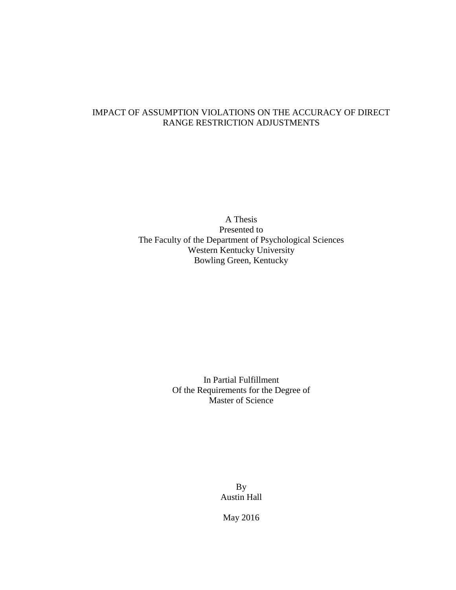# IMPACT OF ASSUMPTION VIOLATIONS ON THE ACCURACY OF DIRECT RANGE RESTRICTION ADJUSTMENTS

A Thesis Presented to The Faculty of the Department of Psychological Sciences Western Kentucky University Bowling Green, Kentucky

> In Partial Fulfillment Of the Requirements for the Degree of Master of Science

> > By Austin Hall

May 2016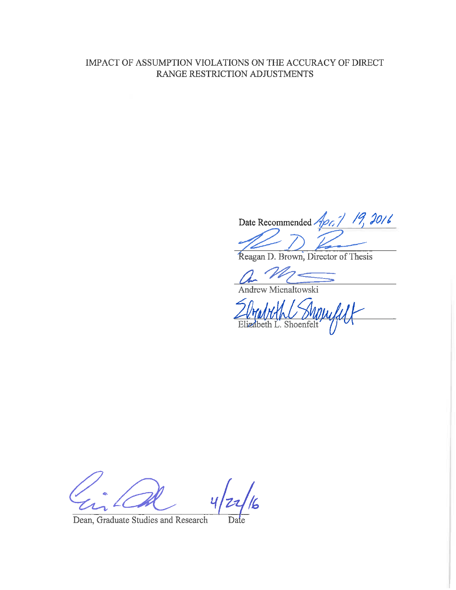# IMPACT OF ASSUMPTION VIOLATIONS ON THE ACCURACY OF DIRECT RANGE RESTRICTION ADJUSTMENTS

Date Recommended Apr. 1 19, 2016

Reagan D. Brown, Director of Thesis

Andrew Mienaltowski

ZUMMML Suppull

Dean, Graduate Studies and Research Date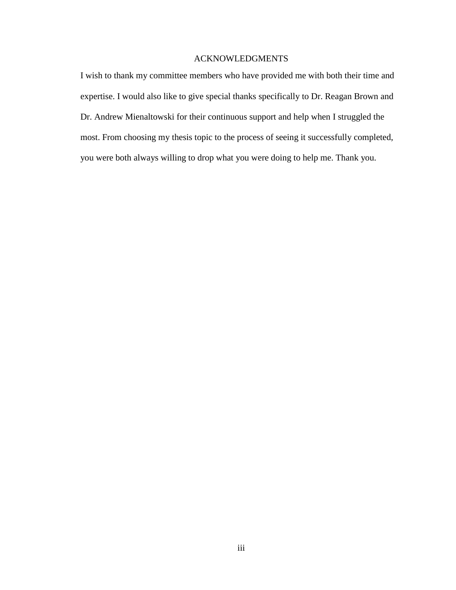# ACKNOWLEDGMENTS

I wish to thank my committee members who have provided me with both their time and expertise. I would also like to give special thanks specifically to Dr. Reagan Brown and Dr. Andrew Mienaltowski for their continuous support and help when I struggled the most. From choosing my thesis topic to the process of seeing it successfully completed, you were both always willing to drop what you were doing to help me. Thank you.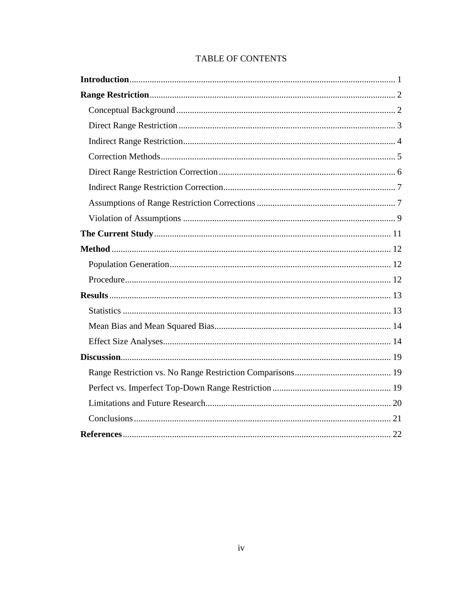# **TABLE OF CONTENTS**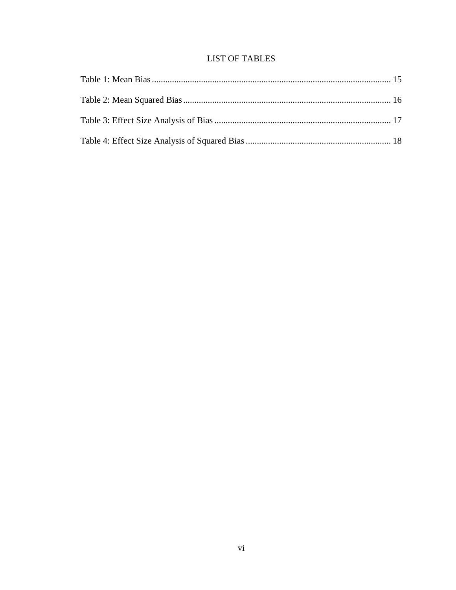# **LIST OF TABLES**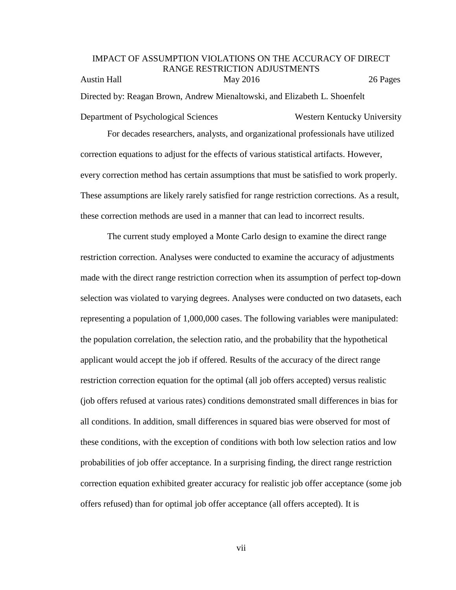# IMPACT OF ASSUMPTION VIOLATIONS ON THE ACCURACY OF DIRECT RANGE RESTRICTION ADJUSTMENTS Austin Hall May 2016 26 Pages Directed by: Reagan Brown, Andrew Mienaltowski, and Elizabeth L. Shoenfelt

Department of Psychological Sciences Western Kentucky University For decades researchers, analysts, and organizational professionals have utilized correction equations to adjust for the effects of various statistical artifacts. However, every correction method has certain assumptions that must be satisfied to work properly. These assumptions are likely rarely satisfied for range restriction corrections. As a result, these correction methods are used in a manner that can lead to incorrect results.

The current study employed a Monte Carlo design to examine the direct range restriction correction. Analyses were conducted to examine the accuracy of adjustments made with the direct range restriction correction when its assumption of perfect top-down selection was violated to varying degrees. Analyses were conducted on two datasets, each representing a population of 1,000,000 cases. The following variables were manipulated: the population correlation, the selection ratio, and the probability that the hypothetical applicant would accept the job if offered. Results of the accuracy of the direct range restriction correction equation for the optimal (all job offers accepted) versus realistic (job offers refused at various rates) conditions demonstrated small differences in bias for all conditions. In addition, small differences in squared bias were observed for most of these conditions, with the exception of conditions with both low selection ratios and low probabilities of job offer acceptance. In a surprising finding, the direct range restriction correction equation exhibited greater accuracy for realistic job offer acceptance (some job offers refused) than for optimal job offer acceptance (all offers accepted). It is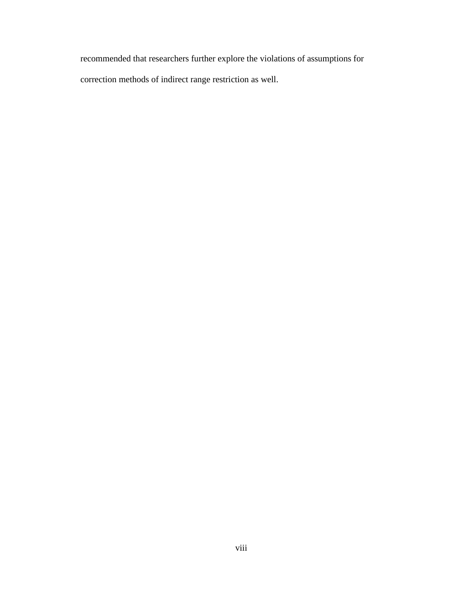recommended that researchers further explore the violations of assumptions for correction methods of indirect range restriction as well.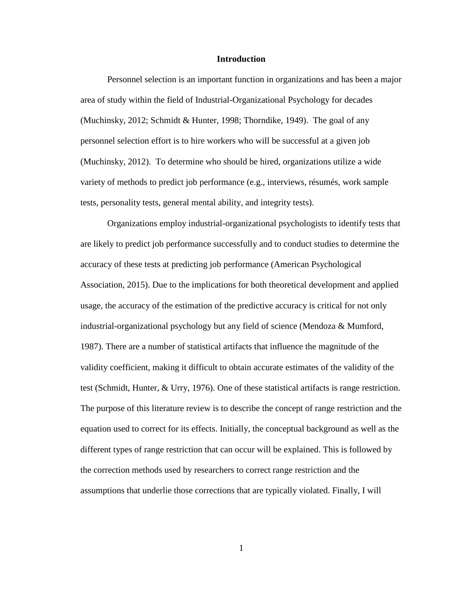#### **Introduction**

<span id="page-8-0"></span>Personnel selection is an important function in organizations and has been a major area of study within the field of Industrial-Organizational Psychology for decades (Muchinsky, 2012; Schmidt & Hunter, 1998; Thorndike, 1949). The goal of any personnel selection effort is to hire workers who will be successful at a given job (Muchinsky, 2012). To determine who should be hired, organizations utilize a wide variety of methods to predict job performance (e.g., interviews, résumés, work sample tests, personality tests, general mental ability, and integrity tests).

Organizations employ industrial-organizational psychologists to identify tests that are likely to predict job performance successfully and to conduct studies to determine the accuracy of these tests at predicting job performance (American Psychological Association, 2015). Due to the implications for both theoretical development and applied usage, the accuracy of the estimation of the predictive accuracy is critical for not only industrial-organizational psychology but any field of science (Mendoza & Mumford, 1987). There are a number of statistical artifacts that influence the magnitude of the validity coefficient, making it difficult to obtain accurate estimates of the validity of the test (Schmidt, Hunter, & Urry, 1976). One of these statistical artifacts is range restriction. The purpose of this literature review is to describe the concept of range restriction and the equation used to correct for its effects. Initially, the conceptual background as well as the different types of range restriction that can occur will be explained. This is followed by the correction methods used by researchers to correct range restriction and the assumptions that underlie those corrections that are typically violated. Finally, I will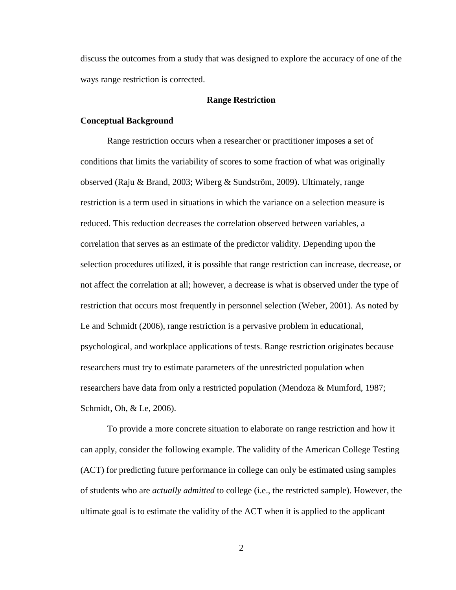discuss the outcomes from a study that was designed to explore the accuracy of one of the ways range restriction is corrected.

#### **Range Restriction**

## <span id="page-9-1"></span><span id="page-9-0"></span>**Conceptual Background**

Range restriction occurs when a researcher or practitioner imposes a set of conditions that limits the variability of scores to some fraction of what was originally observed (Raju & Brand, 2003; Wiberg & Sundström, 2009). Ultimately, range restriction is a term used in situations in which the variance on a selection measure is reduced. This reduction decreases the correlation observed between variables, a correlation that serves as an estimate of the predictor validity. Depending upon the selection procedures utilized, it is possible that range restriction can increase, decrease, or not affect the correlation at all; however, a decrease is what is observed under the type of restriction that occurs most frequently in personnel selection (Weber, 2001). As noted by Le and Schmidt (2006), range restriction is a pervasive problem in educational, psychological, and workplace applications of tests. Range restriction originates because researchers must try to estimate parameters of the unrestricted population when researchers have data from only a restricted population (Mendoza & Mumford, 1987; Schmidt, Oh, & Le, 2006).

To provide a more concrete situation to elaborate on range restriction and how it can apply, consider the following example. The validity of the American College Testing (ACT) for predicting future performance in college can only be estimated using samples of students who are *actually admitted* to college (i.e., the restricted sample). However, the ultimate goal is to estimate the validity of the ACT when it is applied to the applicant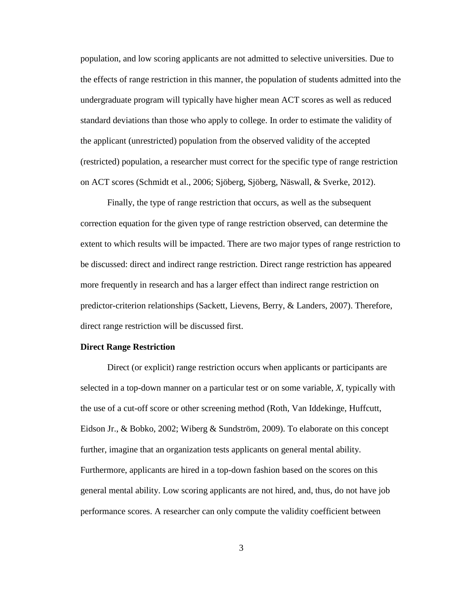population, and low scoring applicants are not admitted to selective universities. Due to the effects of range restriction in this manner, the population of students admitted into the undergraduate program will typically have higher mean ACT scores as well as reduced standard deviations than those who apply to college. In order to estimate the validity of the applicant (unrestricted) population from the observed validity of the accepted (restricted) population, a researcher must correct for the specific type of range restriction on ACT scores (Schmidt et al., 2006; Sjöberg, Sjöberg, Näswall, & Sverke, 2012).

Finally, the type of range restriction that occurs, as well as the subsequent correction equation for the given type of range restriction observed, can determine the extent to which results will be impacted. There are two major types of range restriction to be discussed: direct and indirect range restriction. Direct range restriction has appeared more frequently in research and has a larger effect than indirect range restriction on predictor-criterion relationships (Sackett, Lievens, Berry, & Landers, 2007). Therefore, direct range restriction will be discussed first.

## <span id="page-10-0"></span>**Direct Range Restriction**

Direct (or explicit) range restriction occurs when applicants or participants are selected in a top-down manner on a particular test or on some variable, *X*, typically with the use of a cut-off score or other screening method (Roth, Van Iddekinge, Huffcutt, Eidson Jr., & Bobko, 2002; Wiberg & Sundström, 2009). To elaborate on this concept further, imagine that an organization tests applicants on general mental ability. Furthermore, applicants are hired in a top-down fashion based on the scores on this general mental ability. Low scoring applicants are not hired, and, thus, do not have job performance scores. A researcher can only compute the validity coefficient between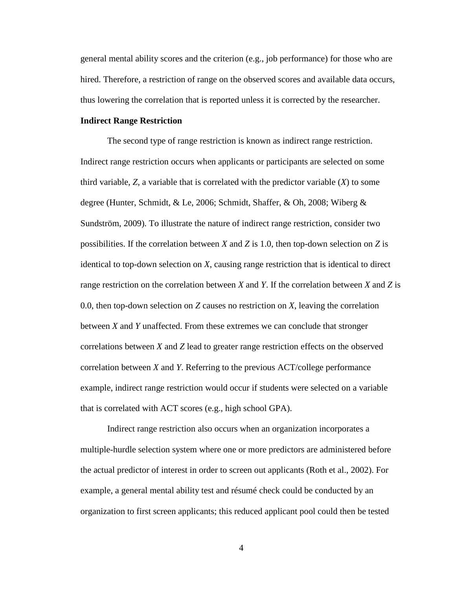general mental ability scores and the criterion (e.g., job performance) for those who are hired. Therefore, a restriction of range on the observed scores and available data occurs, thus lowering the correlation that is reported unless it is corrected by the researcher.

## <span id="page-11-0"></span>**Indirect Range Restriction**

The second type of range restriction is known as indirect range restriction. Indirect range restriction occurs when applicants or participants are selected on some third variable,  $Z$ , a variable that is correlated with the predictor variable  $(X)$  to some degree (Hunter, Schmidt, & Le, 2006; Schmidt, Shaffer, & Oh, 2008; Wiberg & Sundström, 2009). To illustrate the nature of indirect range restriction, consider two possibilities. If the correlation between *X* and *Z* is 1.0, then top-down selection on *Z* is identical to top-down selection on *X*, causing range restriction that is identical to direct range restriction on the correlation between *X* and *Y*. If the correlation between *X* and *Z* is 0.0, then top-down selection on *Z* causes no restriction on *X*, leaving the correlation between *X* and *Y* unaffected. From these extremes we can conclude that stronger correlations between *X* and *Z* lead to greater range restriction effects on the observed correlation between *X* and *Y*. Referring to the previous ACT/college performance example, indirect range restriction would occur if students were selected on a variable that is correlated with ACT scores (e.g., high school GPA).

Indirect range restriction also occurs when an organization incorporates a multiple-hurdle selection system where one or more predictors are administered before the actual predictor of interest in order to screen out applicants (Roth et al., 2002). For example, a general mental ability test and résumé check could be conducted by an organization to first screen applicants; this reduced applicant pool could then be tested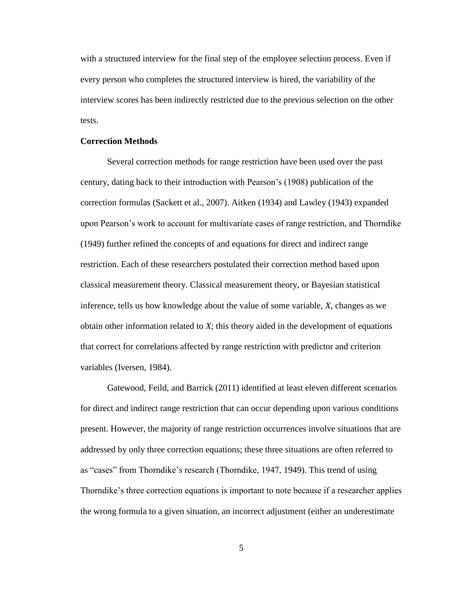with a structured interview for the final step of the employee selection process. Even if every person who completes the structured interview is hired, the variability of the interview scores has been indirectly restricted due to the previous selection on the other tests.

#### <span id="page-12-0"></span>**Correction Methods**

Several correction methods for range restriction have been used over the past century, dating back to their introduction with Pearson's (1908) publication of the correction formulas (Sackett et al., 2007). Aitken (1934) and Lawley (1943) expanded upon Pearson's work to account for multivariate cases of range restriction, and Thorndike (1949) further refined the concepts of and equations for direct and indirect range restriction. Each of these researchers postulated their correction method based upon classical measurement theory. Classical measurement theory, or Bayesian statistical inference, tells us how knowledge about the value of some variable, *X*, changes as we obtain other information related to *X*; this theory aided in the development of equations that correct for correlations affected by range restriction with predictor and criterion variables (Iversen, 1984).

Gatewood, Feild, and Barrick (2011) identified at least eleven different scenarios for direct and indirect range restriction that can occur depending upon various conditions present. However, the majority of range restriction occurrences involve situations that are addressed by only three correction equations; these three situations are often referred to as "cases" from Thorndike's research (Thorndike, 1947, 1949). This trend of using Thorndike's three correction equations is important to note because if a researcher applies the wrong formula to a given situation, an incorrect adjustment (either an underestimate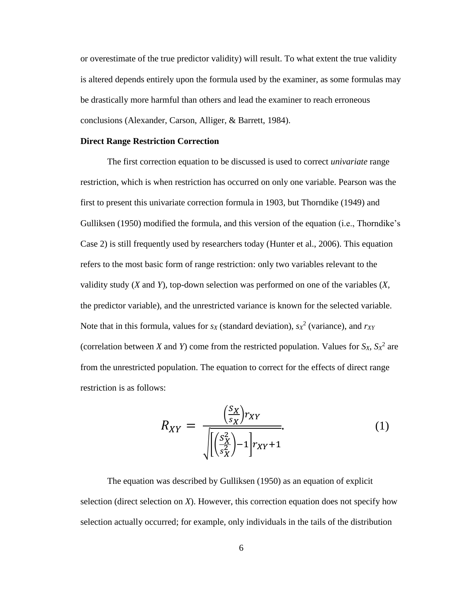or overestimate of the true predictor validity) will result. To what extent the true validity is altered depends entirely upon the formula used by the examiner, as some formulas may be drastically more harmful than others and lead the examiner to reach erroneous conclusions (Alexander, Carson, Alliger, & Barrett, 1984).

## <span id="page-13-0"></span>**Direct Range Restriction Correction**

The first correction equation to be discussed is used to correct *univariate* range restriction, which is when restriction has occurred on only one variable. Pearson was the first to present this univariate correction formula in 1903, but Thorndike (1949) and Gulliksen (1950) modified the formula, and this version of the equation (i.e., Thorndike's Case 2) is still frequently used by researchers today (Hunter et al., 2006). This equation refers to the most basic form of range restriction: only two variables relevant to the validity study (*X* and *Y*), top-down selection was performed on one of the variables (*X*, the predictor variable), and the unrestricted variance is known for the selected variable. Note that in this formula, values for *s<sup>X</sup>* (standard deviation), *s<sup>X</sup>* 2 (variance), and *rXY* (correlation between *X* and *Y*) come from the restricted population. Values for  $S_X$ ,  $S_X^2$  are from the unrestricted population. The equation to correct for the effects of direct range restriction is as follows:

$$
R_{XY} = \frac{\left(\frac{S_X}{S_X}\right) r_{XY}}{\sqrt{\left|\left(\frac{S_X^2}{S_X^2}\right) - 1\right|} r_{XY} + 1}}.
$$
\n(1)

The equation was described by Gulliksen (1950) as an equation of explicit selection (direct selection on *X*). However, this correction equation does not specify how selection actually occurred; for example, only individuals in the tails of the distribution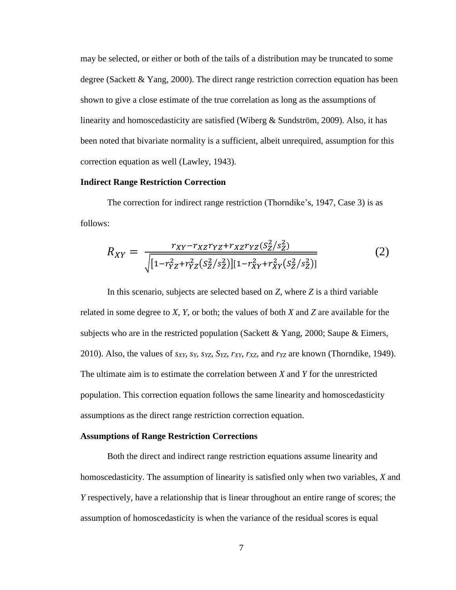may be selected, or either or both of the tails of a distribution may be truncated to some degree (Sackett & Yang, 2000). The direct range restriction correction equation has been shown to give a close estimate of the true correlation as long as the assumptions of linearity and homoscedasticity are satisfied (Wiberg & Sundström, 2009). Also, it has been noted that bivariate normality is a sufficient, albeit unrequired, assumption for this correction equation as well (Lawley, 1943).

## <span id="page-14-0"></span>**Indirect Range Restriction Correction**

The correction for indirect range restriction (Thorndike's, 1947, Case 3) is as follows:

$$
R_{XY} = \frac{r_{XY} - r_{XZ}r_{YZ} + r_{XZ}r_{YZ}(S_Z^2/S_Z^2)}{\sqrt{[1 - r_{YZ}^2 + r_{YZ}^2(S_Z^2/S_Z^2)][1 - r_{XY}^2 + r_{XY}^2(S_Z^2/S_Z^2)]}}
$$
(2)

In this scenario, subjects are selected based on *Z*, where *Z* is a third variable related in some degree to *X*, *Y*, or both; the values of both *X* and *Z* are available for the subjects who are in the restricted population (Sackett & Yang, 2000; Saupe & Eimers, 2010). Also, the values of  $s_{XY}$ ,  $s_Y$ ,  $s_{YZ}$ ,  $s_{YZ}$ ,  $r_{XY}$ ,  $r_{XZ}$ , and  $r_{YZ}$  are known (Thorndike, 1949). The ultimate aim is to estimate the correlation between *X* and *Y* for the unrestricted population. This correction equation follows the same linearity and homoscedasticity assumptions as the direct range restriction correction equation.

#### <span id="page-14-1"></span>**Assumptions of Range Restriction Corrections**

Both the direct and indirect range restriction equations assume linearity and homoscedasticity. The assumption of linearity is satisfied only when two variables, *X* and *Y* respectively, have a relationship that is linear throughout an entire range of scores; the assumption of homoscedasticity is when the variance of the residual scores is equal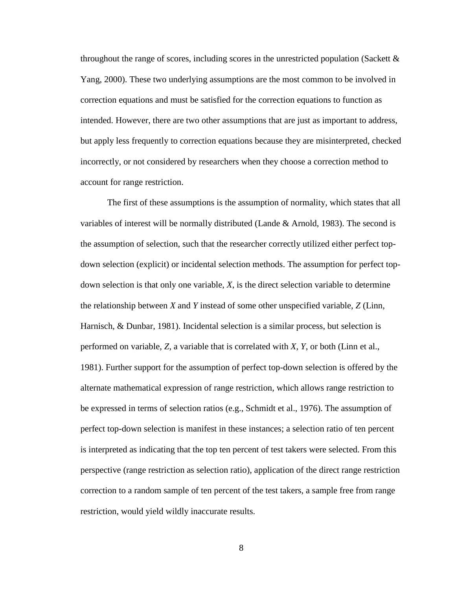throughout the range of scores, including scores in the unrestricted population (Sackett  $\&$ Yang, 2000). These two underlying assumptions are the most common to be involved in correction equations and must be satisfied for the correction equations to function as intended. However, there are two other assumptions that are just as important to address, but apply less frequently to correction equations because they are misinterpreted, checked incorrectly, or not considered by researchers when they choose a correction method to account for range restriction.

The first of these assumptions is the assumption of normality, which states that all variables of interest will be normally distributed (Lande & Arnold, 1983). The second is the assumption of selection, such that the researcher correctly utilized either perfect topdown selection (explicit) or incidental selection methods. The assumption for perfect topdown selection is that only one variable, *X*, is the direct selection variable to determine the relationship between *X* and *Y* instead of some other unspecified variable, *Z* (Linn, Harnisch, & Dunbar, 1981). Incidental selection is a similar process, but selection is performed on variable, *Z,* a variable that is correlated with *X, Y*, or both (Linn et al., 1981). Further support for the assumption of perfect top-down selection is offered by the alternate mathematical expression of range restriction, which allows range restriction to be expressed in terms of selection ratios (e.g., Schmidt et al., 1976). The assumption of perfect top-down selection is manifest in these instances; a selection ratio of ten percent is interpreted as indicating that the top ten percent of test takers were selected. From this perspective (range restriction as selection ratio), application of the direct range restriction correction to a random sample of ten percent of the test takers, a sample free from range restriction, would yield wildly inaccurate results.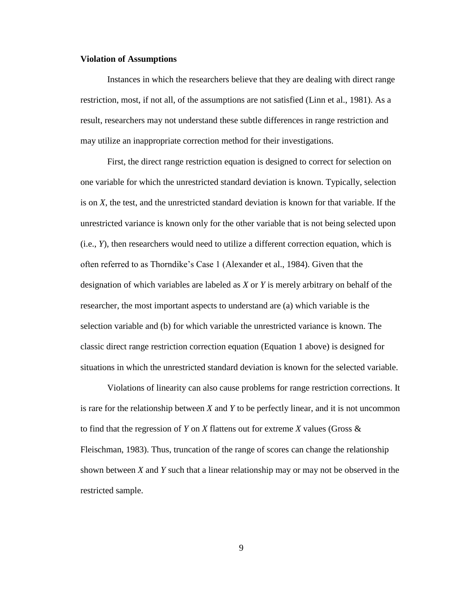#### <span id="page-16-0"></span>**Violation of Assumptions**

Instances in which the researchers believe that they are dealing with direct range restriction, most, if not all, of the assumptions are not satisfied (Linn et al., 1981). As a result, researchers may not understand these subtle differences in range restriction and may utilize an inappropriate correction method for their investigations.

First, the direct range restriction equation is designed to correct for selection on one variable for which the unrestricted standard deviation is known. Typically, selection is on *X*, the test, and the unrestricted standard deviation is known for that variable. If the unrestricted variance is known only for the other variable that is not being selected upon (i.e., *Y*), then researchers would need to utilize a different correction equation, which is often referred to as Thorndike's Case 1 (Alexander et al., 1984). Given that the designation of which variables are labeled as *X* or *Y* is merely arbitrary on behalf of the researcher, the most important aspects to understand are (a) which variable is the selection variable and (b) for which variable the unrestricted variance is known. The classic direct range restriction correction equation (Equation 1 above) is designed for situations in which the unrestricted standard deviation is known for the selected variable.

Violations of linearity can also cause problems for range restriction corrections. It is rare for the relationship between *X* and *Y* to be perfectly linear, and it is not uncommon to find that the regression of *Y* on *X* flattens out for extreme *X* values (Gross & Fleischman, 1983). Thus, truncation of the range of scores can change the relationship shown between *X* and *Y* such that a linear relationship may or may not be observed in the restricted sample.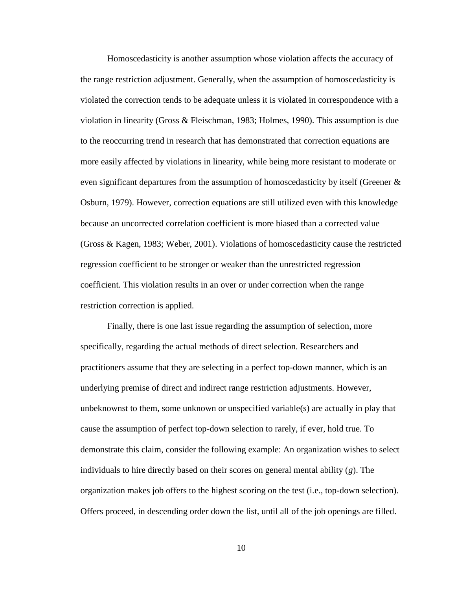Homoscedasticity is another assumption whose violation affects the accuracy of the range restriction adjustment. Generally, when the assumption of homoscedasticity is violated the correction tends to be adequate unless it is violated in correspondence with a violation in linearity (Gross & Fleischman, 1983; Holmes, 1990). This assumption is due to the reoccurring trend in research that has demonstrated that correction equations are more easily affected by violations in linearity, while being more resistant to moderate or even significant departures from the assumption of homoscedasticity by itself (Greener & Osburn, 1979). However, correction equations are still utilized even with this knowledge because an uncorrected correlation coefficient is more biased than a corrected value (Gross & Kagen, 1983; Weber, 2001). Violations of homoscedasticity cause the restricted regression coefficient to be stronger or weaker than the unrestricted regression coefficient. This violation results in an over or under correction when the range restriction correction is applied.

Finally, there is one last issue regarding the assumption of selection, more specifically, regarding the actual methods of direct selection. Researchers and practitioners assume that they are selecting in a perfect top-down manner, which is an underlying premise of direct and indirect range restriction adjustments. However, unbeknownst to them, some unknown or unspecified variable(s) are actually in play that cause the assumption of perfect top-down selection to rarely, if ever, hold true. To demonstrate this claim, consider the following example: An organization wishes to select individuals to hire directly based on their scores on general mental ability (*g*). The organization makes job offers to the highest scoring on the test (i.e., top-down selection). Offers proceed, in descending order down the list, until all of the job openings are filled.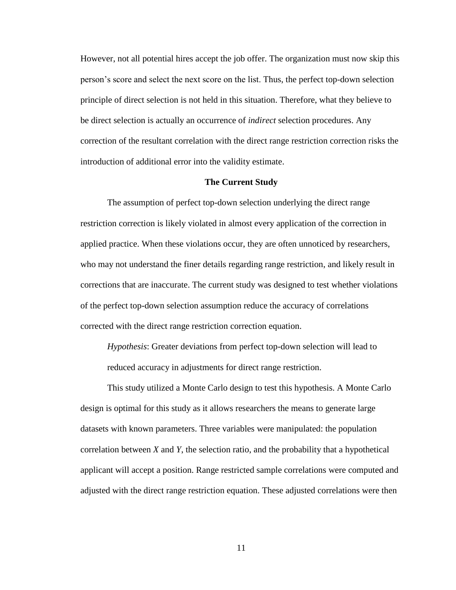However, not all potential hires accept the job offer. The organization must now skip this person's score and select the next score on the list. Thus, the perfect top-down selection principle of direct selection is not held in this situation. Therefore, what they believe to be direct selection is actually an occurrence of *indirect* selection procedures. Any correction of the resultant correlation with the direct range restriction correction risks the introduction of additional error into the validity estimate.

#### **The Current Study**

<span id="page-18-0"></span>The assumption of perfect top-down selection underlying the direct range restriction correction is likely violated in almost every application of the correction in applied practice. When these violations occur, they are often unnoticed by researchers, who may not understand the finer details regarding range restriction, and likely result in corrections that are inaccurate. The current study was designed to test whether violations of the perfect top-down selection assumption reduce the accuracy of correlations corrected with the direct range restriction correction equation.

*Hypothesis*: Greater deviations from perfect top-down selection will lead to reduced accuracy in adjustments for direct range restriction.

This study utilized a Monte Carlo design to test this hypothesis. A Monte Carlo design is optimal for this study as it allows researchers the means to generate large datasets with known parameters. Three variables were manipulated: the population correlation between *X* and *Y*, the selection ratio, and the probability that a hypothetical applicant will accept a position. Range restricted sample correlations were computed and adjusted with the direct range restriction equation. These adjusted correlations were then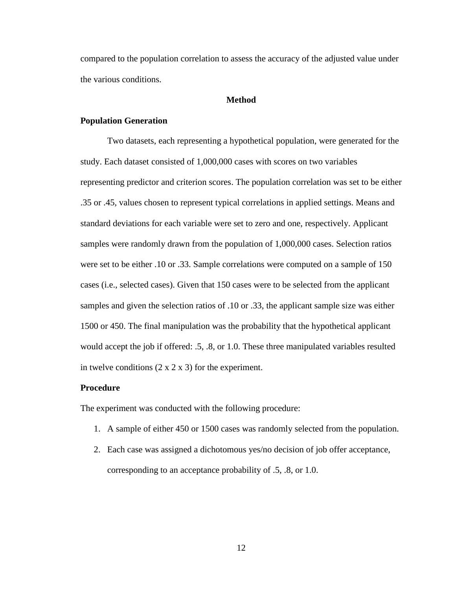compared to the population correlation to assess the accuracy of the adjusted value under the various conditions.

## **Method**

## <span id="page-19-1"></span><span id="page-19-0"></span>**Population Generation**

Two datasets, each representing a hypothetical population, were generated for the study. Each dataset consisted of 1,000,000 cases with scores on two variables representing predictor and criterion scores. The population correlation was set to be either .35 or .45, values chosen to represent typical correlations in applied settings. Means and standard deviations for each variable were set to zero and one, respectively. Applicant samples were randomly drawn from the population of 1,000,000 cases. Selection ratios were set to be either .10 or .33. Sample correlations were computed on a sample of 150 cases (i.e., selected cases). Given that 150 cases were to be selected from the applicant samples and given the selection ratios of .10 or .33, the applicant sample size was either 1500 or 450. The final manipulation was the probability that the hypothetical applicant would accept the job if offered: .5, .8, or 1.0. These three manipulated variables resulted in twelve conditions  $(2 \times 2 \times 3)$  for the experiment.

## <span id="page-19-2"></span>**Procedure**

The experiment was conducted with the following procedure:

- 1. A sample of either 450 or 1500 cases was randomly selected from the population.
- 2. Each case was assigned a dichotomous yes/no decision of job offer acceptance, corresponding to an acceptance probability of .5, .8, or 1.0.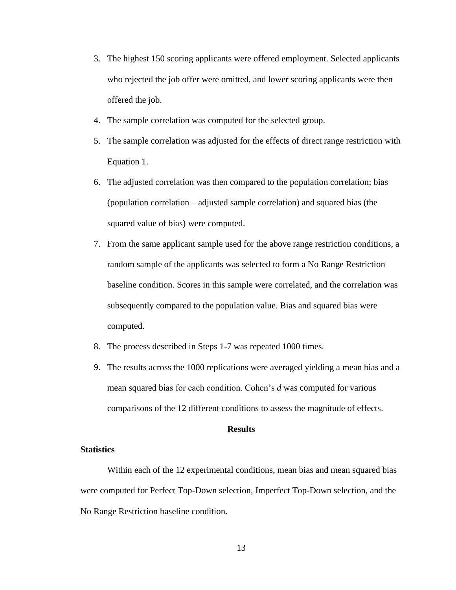- 3. The highest 150 scoring applicants were offered employment. Selected applicants who rejected the job offer were omitted, and lower scoring applicants were then offered the job.
- 4. The sample correlation was computed for the selected group.
- 5. The sample correlation was adjusted for the effects of direct range restriction with Equation 1.
- 6. The adjusted correlation was then compared to the population correlation; bias (population correlation – adjusted sample correlation) and squared bias (the squared value of bias) were computed.
- 7. From the same applicant sample used for the above range restriction conditions, a random sample of the applicants was selected to form a No Range Restriction baseline condition. Scores in this sample were correlated, and the correlation was subsequently compared to the population value. Bias and squared bias were computed.
- 8. The process described in Steps 1-7 was repeated 1000 times.
- 9. The results across the 1000 replications were averaged yielding a mean bias and a mean squared bias for each condition. Cohen's *d* was computed for various comparisons of the 12 different conditions to assess the magnitude of effects.

## **Results**

## <span id="page-20-1"></span><span id="page-20-0"></span>**Statistics**

Within each of the 12 experimental conditions, mean bias and mean squared bias were computed for Perfect Top-Down selection, Imperfect Top-Down selection, and the No Range Restriction baseline condition.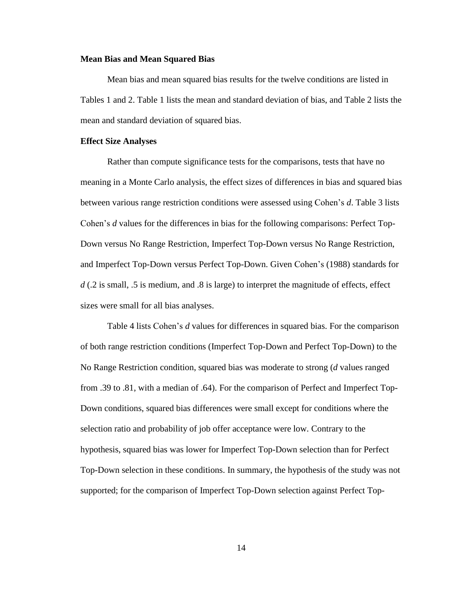#### <span id="page-21-0"></span>**Mean Bias and Mean Squared Bias**

Mean bias and mean squared bias results for the twelve conditions are listed in Tables 1 and 2. Table 1 lists the mean and standard deviation of bias, and Table 2 lists the mean and standard deviation of squared bias.

#### <span id="page-21-1"></span>**Effect Size Analyses**

Rather than compute significance tests for the comparisons, tests that have no meaning in a Monte Carlo analysis, the effect sizes of differences in bias and squared bias between various range restriction conditions were assessed using Cohen's *d*. Table 3 lists Cohen's *d* values for the differences in bias for the following comparisons: Perfect Top-Down versus No Range Restriction, Imperfect Top-Down versus No Range Restriction, and Imperfect Top-Down versus Perfect Top-Down. Given Cohen's (1988) standards for d (.2 is small, .5 is medium, and .8 is large) to interpret the magnitude of effects, effect sizes were small for all bias analyses.

Table 4 lists Cohen's *d* values for differences in squared bias. For the comparison of both range restriction conditions (Imperfect Top-Down and Perfect Top-Down) to the No Range Restriction condition, squared bias was moderate to strong (*d* values ranged from .39 to .81, with a median of .64). For the comparison of Perfect and Imperfect Top-Down conditions, squared bias differences were small except for conditions where the selection ratio and probability of job offer acceptance were low. Contrary to the hypothesis, squared bias was lower for Imperfect Top-Down selection than for Perfect Top-Down selection in these conditions. In summary, the hypothesis of the study was not supported; for the comparison of Imperfect Top-Down selection against Perfect Top-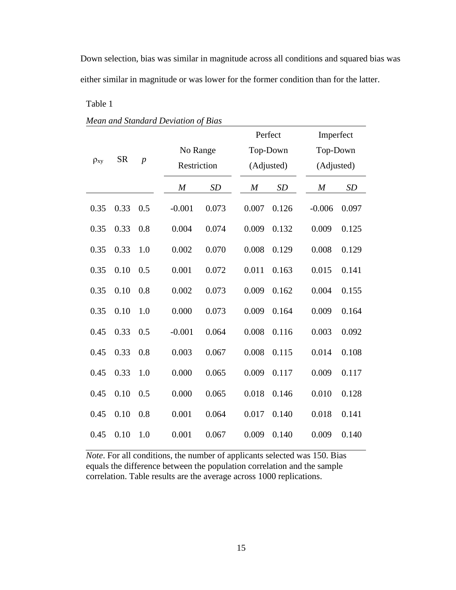Down selection, bias was similar in magnitude across all conditions and squared bias was either similar in magnitude or was lower for the former condition than for the latter.

# Table 1

|  |  | Mean and Standard Deviation of Bias |  |
|--|--|-------------------------------------|--|
|--|--|-------------------------------------|--|

|             |                             |                         |                  |           |                  | Perfect    | Imperfect        |           |
|-------------|-----------------------------|-------------------------|------------------|-----------|------------------|------------|------------------|-----------|
|             |                             | No Range<br>Restriction |                  | Top-Down  |                  | Top-Down   |                  |           |
| $\rho_{xy}$ | <b>SR</b><br>$\overline{p}$ |                         |                  |           | (Adjusted)       | (Adjusted) |                  |           |
|             |                             |                         | $\boldsymbol{M}$ | <b>SD</b> | $\boldsymbol{M}$ | SD         | $\boldsymbol{M}$ | <b>SD</b> |
| 0.35        | 0.33                        | 0.5                     | $-0.001$         | 0.073     | 0.007            | 0.126      | $-0.006$         | 0.097     |
| 0.35        | 0.33                        | 0.8                     | 0.004            | 0.074     | 0.009            | 0.132      | 0.009            | 0.125     |
| 0.35        | 0.33                        | 1.0                     | 0.002            | 0.070     | 0.008            | 0.129      | 0.008            | 0.129     |
| 0.35        | 0.10                        | 0.5                     | 0.001            | 0.072     | 0.011            | 0.163      | 0.015            | 0.141     |
| 0.35        | 0.10                        | 0.8                     | 0.002            | 0.073     | 0.009            | 0.162      | 0.004            | 0.155     |
| 0.35        | 0.10                        | 1.0                     | 0.000            | 0.073     | 0.009            | 0.164      | 0.009            | 0.164     |
| 0.45        | 0.33                        | 0.5                     | $-0.001$         | 0.064     | 0.008            | 0.116      | 0.003            | 0.092     |
| 0.45        | 0.33                        | 0.8                     | 0.003            | 0.067     | 0.008            | 0.115      | 0.014            | 0.108     |
| 0.45        | 0.33                        | 1.0                     | 0.000            | 0.065     | 0.009            | 0.117      | 0.009            | 0.117     |
| 0.45        | 0.10                        | 0.5                     | 0.000            | 0.065     | 0.018            | 0.146      | 0.010            | 0.128     |
| 0.45        | 0.10                        | 0.8                     | 0.001            | 0.064     | 0.017            | 0.140      | 0.018            | 0.141     |
| 0.45        | 0.10                        | 1.0                     | 0.001            | 0.067     | 0.009            | 0.140      | 0.009            | 0.140     |

*Note*. For all conditions, the number of applicants selected was 150. Bias equals the difference between the population correlation and the sample correlation. Table results are the average across 1000 replications.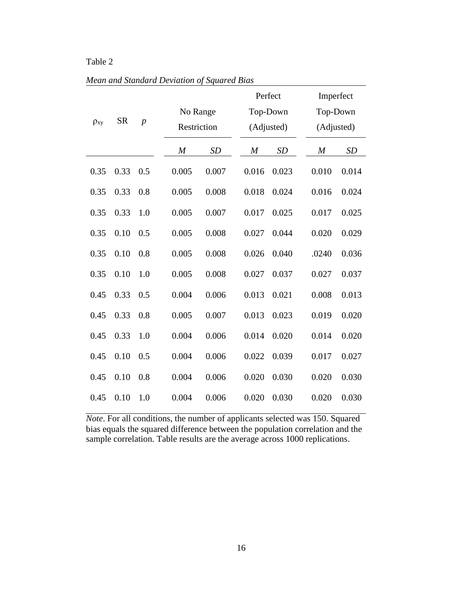# Table 2

|  |  | Mean and Standard Deviation of Squared Bias |  |  |
|--|--|---------------------------------------------|--|--|
|  |  |                                             |  |  |

| <b>SR</b><br>$\overline{p}$<br>$\rho_{xy}$ |      |     | No Range<br>Restriction |           | Perfect<br>Top-Down<br>(Adjusted) |           | Imperfect<br>Top-Down<br>(Adjusted) |           |
|--------------------------------------------|------|-----|-------------------------|-----------|-----------------------------------|-----------|-------------------------------------|-----------|
|                                            |      |     | $\boldsymbol{M}$        | <b>SD</b> | $\boldsymbol{M}$                  | <b>SD</b> | $\boldsymbol{M}$                    | <b>SD</b> |
| 0.35                                       | 0.33 | 0.5 | 0.005                   | 0.007     | 0.016                             | 0.023     | 0.010                               | 0.014     |
| 0.35                                       | 0.33 | 0.8 | 0.005                   | 0.008     | 0.018                             | 0.024     | 0.016                               | 0.024     |
| 0.35                                       | 0.33 | 1.0 | 0.005                   | 0.007     | 0.017                             | 0.025     | 0.017                               | 0.025     |
| 0.35                                       | 0.10 | 0.5 | 0.005                   | 0.008     | 0.027                             | 0.044     | 0.020                               | 0.029     |
| 0.35                                       | 0.10 | 0.8 | 0.005                   | 0.008     | 0.026                             | 0.040     | .0240                               | 0.036     |
| 0.35                                       | 0.10 | 1.0 | 0.005                   | 0.008     | 0.027                             | 0.037     | 0.027                               | 0.037     |
| 0.45                                       | 0.33 | 0.5 | 0.004                   | 0.006     | 0.013                             | 0.021     | 0.008                               | 0.013     |
| 0.45                                       | 0.33 | 0.8 | 0.005                   | 0.007     | 0.013                             | 0.023     | 0.019                               | 0.020     |
| 0.45                                       | 0.33 | 1.0 | 0.004                   | 0.006     | 0.014                             | 0.020     | 0.014                               | 0.020     |
| 0.45                                       | 0.10 | 0.5 | 0.004                   | 0.006     | 0.022                             | 0.039     | 0.017                               | 0.027     |
| 0.45                                       | 0.10 | 0.8 | 0.004                   | 0.006     | 0.020                             | 0.030     | 0.020                               | 0.030     |
| 0.45                                       | 0.10 | 1.0 | 0.004                   | 0.006     | 0.020                             | 0.030     | 0.020                               | 0.030     |

*Note*. For all conditions, the number of applicants selected was 150. Squared bias equals the squared difference between the population correlation and the sample correlation. Table results are the average across 1000 replications.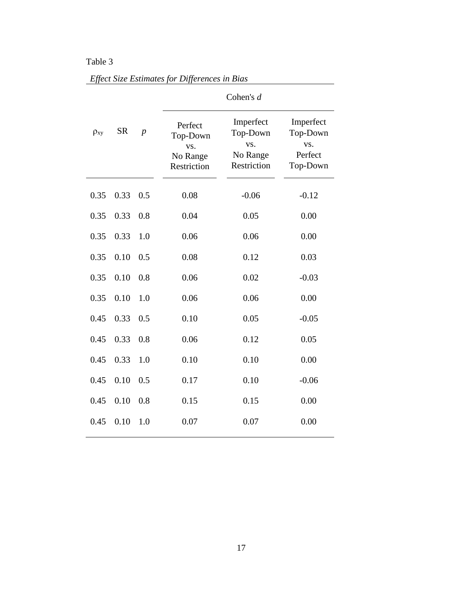# Table 3

|             |           |                  |                                                       | Cohen's $d$                                             |                                                     |
|-------------|-----------|------------------|-------------------------------------------------------|---------------------------------------------------------|-----------------------------------------------------|
| $\rho_{xy}$ | <b>SR</b> | $\boldsymbol{p}$ | Perfect<br>Top-Down<br>VS.<br>No Range<br>Restriction | Imperfect<br>Top-Down<br>VS.<br>No Range<br>Restriction | Imperfect<br>Top-Down<br>VS.<br>Perfect<br>Top-Down |
| 0.35        | 0.33      | 0.5              | 0.08                                                  | $-0.06$                                                 | $-0.12$                                             |
| 0.35        | 0.33      | 0.8              | 0.04                                                  | 0.05                                                    | 0.00                                                |
| 0.35        | 0.33      | 1.0              | 0.06                                                  | 0.06                                                    | 0.00                                                |
| 0.35        | 0.10      | 0.5              | 0.08                                                  | 0.12                                                    | 0.03                                                |
| 0.35        | 0.10      | 0.8              | 0.06                                                  | 0.02                                                    | $-0.03$                                             |
| 0.35        | 0.10      | 1.0              | 0.06                                                  | 0.06                                                    | 0.00                                                |
| 0.45        | 0.33      | 0.5              | 0.10                                                  | 0.05                                                    | $-0.05$                                             |
| 0.45        | 0.33      | 0.8              | 0.06                                                  | 0.12                                                    | 0.05                                                |
| 0.45        | 0.33      | 1.0              | 0.10                                                  | 0.10                                                    | 0.00                                                |
| 0.45        | 0.10      | 0.5              | 0.17                                                  | 0.10                                                    | $-0.06$                                             |
| 0.45        | 0.10      | 0.8              | 0.15                                                  | 0.15                                                    | 0.00                                                |
| 0.45        | 0.10      | 1.0              | 0.07                                                  | 0.07                                                    | 0.00                                                |

*Effect Size Estimates for Differences in Bias*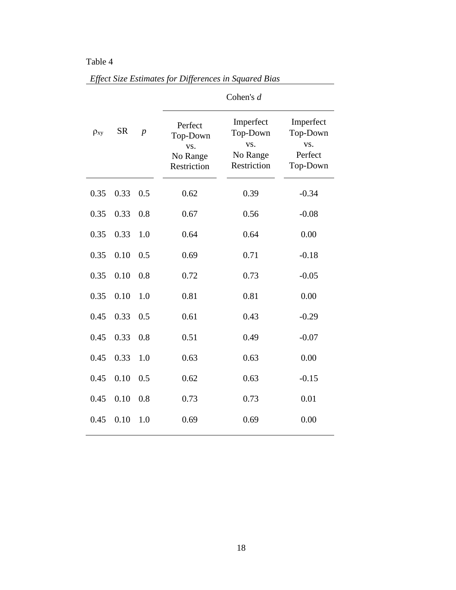# Table 4

<span id="page-25-0"></span>

|             |           |                  | Cohen's $d$                                           |                                                         |                                                     |  |  |
|-------------|-----------|------------------|-------------------------------------------------------|---------------------------------------------------------|-----------------------------------------------------|--|--|
| $\rho_{xy}$ | <b>SR</b> | $\boldsymbol{p}$ | Perfect<br>Top-Down<br>VS.<br>No Range<br>Restriction | Imperfect<br>Top-Down<br>VS.<br>No Range<br>Restriction | Imperfect<br>Top-Down<br>VS.<br>Perfect<br>Top-Down |  |  |
| 0.35        | 0.33      | 0.5              | 0.62                                                  | 0.39                                                    | $-0.34$                                             |  |  |
| 0.35        | 0.33      | 0.8              | 0.67                                                  | 0.56                                                    | $-0.08$                                             |  |  |
| 0.35        | 0.33      | 1.0              | 0.64                                                  | 0.64                                                    | 0.00                                                |  |  |
| 0.35        | 0.10      | 0.5              | 0.69                                                  | 0.71                                                    | $-0.18$                                             |  |  |
| 0.35        | 0.10      | 0.8              | 0.72                                                  | 0.73                                                    | $-0.05$                                             |  |  |
| 0.35        | 0.10      | 1.0              | 0.81                                                  | 0.81                                                    | 0.00                                                |  |  |
| 0.45        | 0.33      | 0.5              | 0.61                                                  | 0.43                                                    | $-0.29$                                             |  |  |
| 0.45        | 0.33      | 0.8              | 0.51                                                  | 0.49                                                    | $-0.07$                                             |  |  |
| 0.45        | 0.33      | 1.0              | 0.63                                                  | 0.63                                                    | 0.00                                                |  |  |
| 0.45        | 0.10      | 0.5              | 0.62                                                  | 0.63                                                    | $-0.15$                                             |  |  |
| 0.45        | 0.10      | 0.8              | 0.73                                                  | 0.73                                                    | 0.01                                                |  |  |
| 0.45        | 0.10      | 1.0              | 0.69                                                  | 0.69                                                    | 0.00                                                |  |  |

*Effect Size Estimates for Differences in Squared Bias*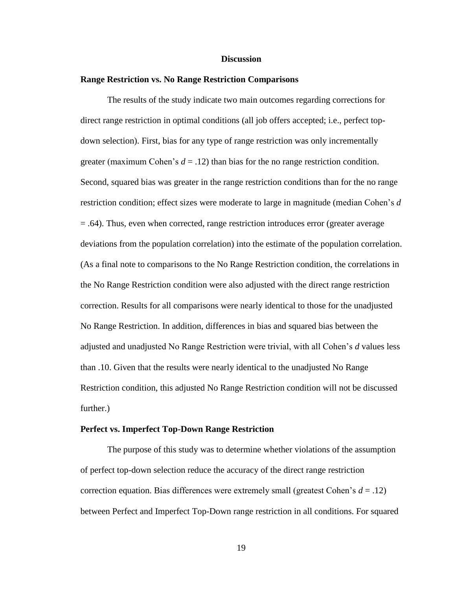#### **Discussion**

#### <span id="page-26-0"></span>**Range Restriction vs. No Range Restriction Comparisons**

The results of the study indicate two main outcomes regarding corrections for direct range restriction in optimal conditions (all job offers accepted; i.e., perfect topdown selection). First, bias for any type of range restriction was only incrementally greater (maximum Cohen's  $d = .12$ ) than bias for the no range restriction condition. Second, squared bias was greater in the range restriction conditions than for the no range restriction condition; effect sizes were moderate to large in magnitude (median Cohen's *d* = .64). Thus, even when corrected, range restriction introduces error (greater average deviations from the population correlation) into the estimate of the population correlation. (As a final note to comparisons to the No Range Restriction condition, the correlations in the No Range Restriction condition were also adjusted with the direct range restriction correction. Results for all comparisons were nearly identical to those for the unadjusted No Range Restriction. In addition, differences in bias and squared bias between the adjusted and unadjusted No Range Restriction were trivial, with all Cohen's *d* values less than .10. Given that the results were nearly identical to the unadjusted No Range Restriction condition, this adjusted No Range Restriction condition will not be discussed further.)

#### <span id="page-26-1"></span>**Perfect vs. Imperfect Top-Down Range Restriction**

The purpose of this study was to determine whether violations of the assumption of perfect top-down selection reduce the accuracy of the direct range restriction correction equation. Bias differences were extremely small (greatest Cohen's *d* = .12) between Perfect and Imperfect Top-Down range restriction in all conditions. For squared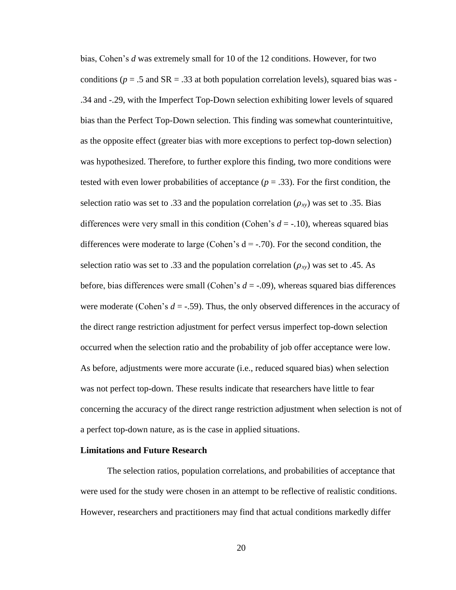bias, Cohen's *d* was extremely small for 10 of the 12 conditions. However, for two conditions ( $p = .5$  and  $SR = .33$  at both population correlation levels), squared bias was -.34 and -.29, with the Imperfect Top-Down selection exhibiting lower levels of squared bias than the Perfect Top-Down selection. This finding was somewhat counterintuitive, as the opposite effect (greater bias with more exceptions to perfect top-down selection) was hypothesized. Therefore, to further explore this finding, two more conditions were tested with even lower probabilities of acceptance  $(p = .33)$ . For the first condition, the selection ratio was set to .33 and the population correlation  $(\rho_{xy})$  was set to .35. Bias differences were very small in this condition (Cohen's *d* = -.10), whereas squared bias differences were moderate to large (Cohen's  $d = -0.70$ ). For the second condition, the selection ratio was set to .33 and the population correlation  $(\rho_{xy})$  was set to .45. As before, bias differences were small (Cohen's  $d = -0.09$ ), whereas squared bias differences were moderate (Cohen's  $d = -0.59$ ). Thus, the only observed differences in the accuracy of the direct range restriction adjustment for perfect versus imperfect top-down selection occurred when the selection ratio and the probability of job offer acceptance were low. As before, adjustments were more accurate (i.e., reduced squared bias) when selection was not perfect top-down. These results indicate that researchers have little to fear concerning the accuracy of the direct range restriction adjustment when selection is not of a perfect top-down nature, as is the case in applied situations.

## <span id="page-27-0"></span>**Limitations and Future Research**

The selection ratios, population correlations, and probabilities of acceptance that were used for the study were chosen in an attempt to be reflective of realistic conditions. However, researchers and practitioners may find that actual conditions markedly differ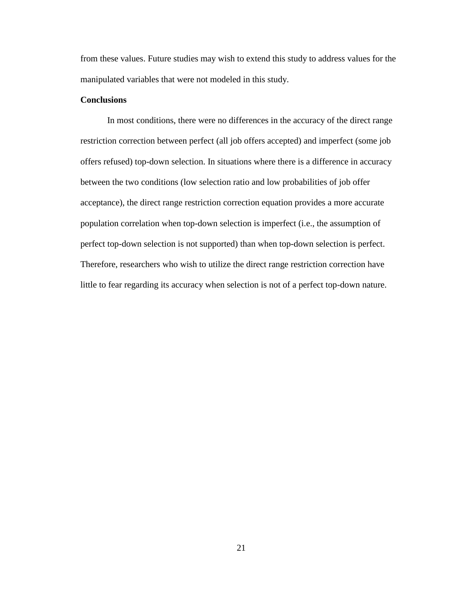from these values. Future studies may wish to extend this study to address values for the manipulated variables that were not modeled in this study.

# <span id="page-28-0"></span>**Conclusions**

<span id="page-28-1"></span>In most conditions, there were no differences in the accuracy of the direct range restriction correction between perfect (all job offers accepted) and imperfect (some job offers refused) top-down selection. In situations where there is a difference in accuracy between the two conditions (low selection ratio and low probabilities of job offer acceptance), the direct range restriction correction equation provides a more accurate population correlation when top-down selection is imperfect (i.e., the assumption of perfect top-down selection is not supported) than when top-down selection is perfect. Therefore, researchers who wish to utilize the direct range restriction correction have little to fear regarding its accuracy when selection is not of a perfect top-down nature.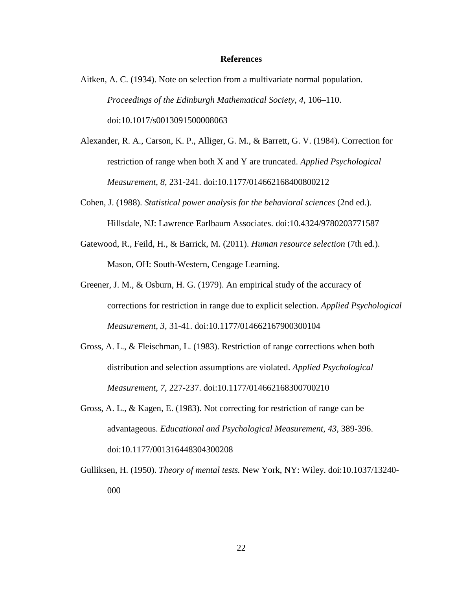#### **References**

- Aitken, A. C. (1934). Note on selection from a multivariate normal population. *Proceedings of the Edinburgh Mathematical Society, 4,* 106–110. doi:10.1017/s0013091500008063
- Alexander, R. A., Carson, K. P., Alliger, G. M., & Barrett, G. V. (1984). Correction for restriction of range when both X and Y are truncated. *Applied Psychological Measurement*, *8*, 231-241. doi:10.1177/014662168400800212
- Cohen, J. (1988). *Statistical power analysis for the behavioral sciences* (2nd ed.). Hillsdale, NJ: Lawrence Earlbaum Associates. doi:10.4324/9780203771587
- Gatewood, R., Feild, H., & Barrick, M. (2011). *Human resource selection* (7th ed.). Mason, OH: South-Western, Cengage Learning.
- Greener, J. M., & Osburn, H. G. (1979). An empirical study of the accuracy of corrections for restriction in range due to explicit selection. *Applied Psychological Measurement, 3,* 31-41. doi:10.1177/014662167900300104
- Gross, A. L., & Fleischman, L. (1983). Restriction of range corrections when both distribution and selection assumptions are violated. *Applied Psychological Measurement*, *7*, 227-237. doi:10.1177/014662168300700210
- Gross, A. L., & Kagen, E. (1983). Not correcting for restriction of range can be advantageous. *Educational and Psychological Measurement*, *43*, 389-396. doi:10.1177/001316448304300208
- Gulliksen, H. (1950). *Theory of mental tests.* New York, NY: Wiley. doi:10.1037/13240- 000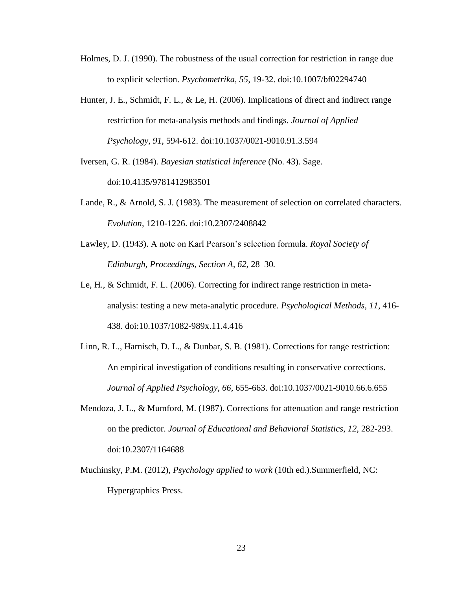- Holmes, D. J. (1990). The robustness of the usual correction for restriction in range due to explicit selection. *Psychometrika*, *55*, 19-32. doi:10.1007/bf02294740
- Hunter, J. E., Schmidt, F. L., & Le, H. (2006). Implications of direct and indirect range restriction for meta-analysis methods and findings. *Journal of Applied Psychology*, *91*, 594-612. doi:10.1037/0021-9010.91.3.594
- Iversen, G. R. (1984). *Bayesian statistical inference* (No. 43). Sage. doi:10.4135/9781412983501
- Lande, R., & Arnold, S. J. (1983). The measurement of selection on correlated characters. *Evolution*, 1210-1226. doi:10.2307/2408842
- Lawley, D. (1943). A note on Karl Pearson's selection formula. *Royal Society of Edinburgh, Proceedings, Section A, 62,* 28–30*.*
- Le, H., & Schmidt, F. L. (2006). Correcting for indirect range restriction in metaanalysis: testing a new meta-analytic procedure. *Psychological Methods*, *11*, 416- 438. doi:10.1037/1082-989x.11.4.416
- Linn, R. L., Harnisch, D. L., & Dunbar, S. B. (1981). Corrections for range restriction: An empirical investigation of conditions resulting in conservative corrections. *Journal of Applied Psychology*, *66*, 655-663. doi:10.1037/0021-9010.66.6.655
- Mendoza, J. L., & Mumford, M. (1987). Corrections for attenuation and range restriction on the predictor. *Journal of Educational and Behavioral Statistics*, *12*, 282-293. doi:10.2307/1164688
- Muchinsky, P.M. (2012), *Psychology applied to work* (10th ed.).Summerfield, NC: Hypergraphics Press.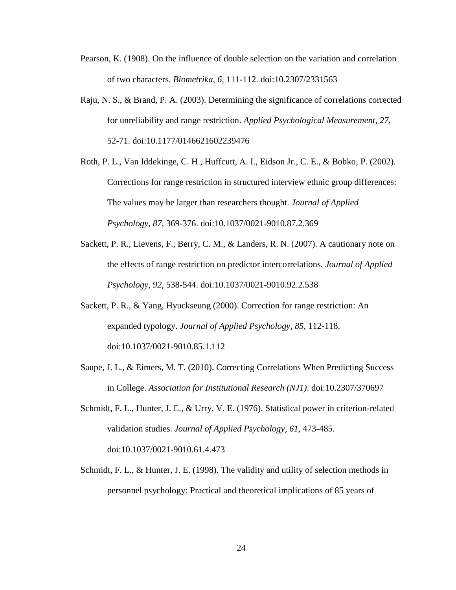- Pearson, K. (1908). On the influence of double selection on the variation and correlation of two characters. *Biometrika*, *6*, 111-112. doi:10.2307/2331563
- Raju, N. S., & Brand, P. A. (2003). Determining the significance of correlations corrected for unreliability and range restriction. *Applied Psychological Measurement*, *27*, 52-71. doi:10.1177/0146621602239476
- Roth, P. L., Van Iddekinge, C. H., Huffcutt, A. I., Eidson Jr., C. E., & Bobko, P. (2002). Corrections for range restriction in structured interview ethnic group differences: The values may be larger than researchers thought. *Journal of Applied Psychology*, *87*, 369-376. doi:10.1037/0021-9010.87.2.369
- Sackett, P. R., Lievens, F., Berry, C. M., & Landers, R. N. (2007). A cautionary note on the effects of range restriction on predictor intercorrelations. *Journal of Applied Psychology*, *92*, 538-544. doi:10.1037/0021-9010.92.2.538
- Sackett, P. R., & Yang, Hyuckseung (2000). Correction for range restriction: An expanded typology. *Journal of Applied Psychology*, *85*, 112-118. doi:10.1037/0021-9010.85.1.112
- Saupe, J. L., & Eimers, M. T. (2010). Correcting Correlations When Predicting Success in College. *Association for Institutional Research (NJ1)*. doi:10.2307/370697
- Schmidt, F. L., Hunter, J. E., & Urry, V. E. (1976). Statistical power in criterion-related validation studies. *Journal of Applied Psychology, 61,* 473-485. doi:10.1037/0021-9010.61.4.473
- Schmidt, F. L.,  $\&$  Hunter, J. E. (1998). The validity and utility of selection methods in personnel psychology: Practical and theoretical implications of 85 years of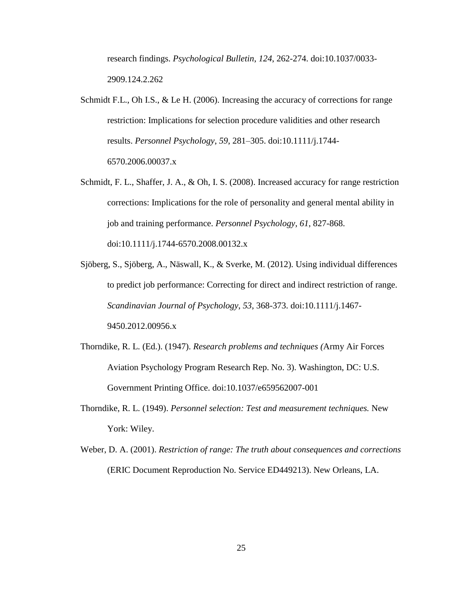research findings. *Psychological Bulletin*, *124*, 262-274. doi:10.1037/0033- 2909.124.2.262

- Schmidt F.L., Oh I.S., & Le H. (2006). Increasing the accuracy of corrections for range restriction: Implications for selection procedure validities and other research results. *Personnel Psychology*, *59*, 281–305. doi:10.1111/j.1744- 6570.2006.00037.x
- Schmidt, F. L., Shaffer, J. A., & Oh, I. S. (2008). Increased accuracy for range restriction corrections: Implications for the role of personality and general mental ability in job and training performance. *Personnel Psychology*, *61*, 827-868. doi:10.1111/j.1744-6570.2008.00132.x
- Sjöberg, S., Sjöberg, A., Näswall, K., & Sverke, M. (2012). Using individual differences to predict job performance: Correcting for direct and indirect restriction of range. *Scandinavian Journal of Psychology*, *53*, 368-373. doi:10.1111/j.1467- 9450.2012.00956.x
- Thorndike, R. L. (Ed.). (1947). *Research problems and techniques (*Army Air Forces Aviation Psychology Program Research Rep. No. 3). Washington, DC: U.S. Government Printing Office. doi:10.1037/e659562007-001
- Thorndike, R. L. (1949). *Personnel selection: Test and measurement techniques.* New York: Wiley.
- Weber, D. A. (2001). *Restriction of range: The truth about consequences and corrections*  (ERIC Document Reproduction No. Service ED449213). New Orleans, LA.